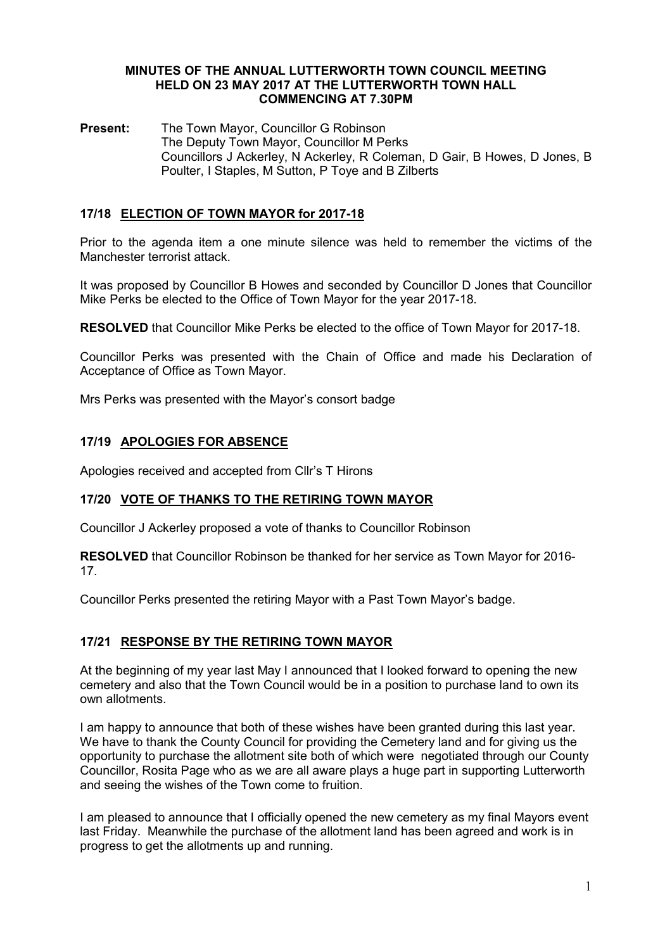### MINUTES OF THE ANNUAL LUTTERWORTH TOWN COUNCIL MEETING HELD ON 23 MAY 2017 AT THE LUTTERWORTH TOWN HALL COMMENCING AT 7.30PM

Present: The Town Mayor, Councillor G Robinson The Deputy Town Mayor, Councillor M Perks Councillors J Ackerley, N Ackerley, R Coleman, D Gair, B Howes, D Jones, B Poulter, I Staples, M Sutton, P Toye and B Zilberts

# 17/18 ELECTION OF TOWN MAYOR for 2017-18

Prior to the agenda item a one minute silence was held to remember the victims of the Manchester terrorist attack.

It was proposed by Councillor B Howes and seconded by Councillor D Jones that Councillor Mike Perks be elected to the Office of Town Mayor for the year 2017-18.

RESOLVED that Councillor Mike Perks be elected to the office of Town Mayor for 2017-18.

Councillor Perks was presented with the Chain of Office and made his Declaration of Acceptance of Office as Town Mayor.

Mrs Perks was presented with the Mayor's consort badge

# 17/19 APOLOGIES FOR ABSENCE

Apologies received and accepted from Cllr's T Hirons

# 17/20 VOTE OF THANKS TO THE RETIRING TOWN MAYOR

Councillor J Ackerley proposed a vote of thanks to Councillor Robinson

RESOLVED that Councillor Robinson be thanked for her service as Town Mayor for 2016- 17.

Councillor Perks presented the retiring Mayor with a Past Town Mayor's badge.

## 17/21 RESPONSE BY THE RETIRING TOWN MAYOR

At the beginning of my year last May I announced that I looked forward to opening the new cemetery and also that the Town Council would be in a position to purchase land to own its own allotments.

I am happy to announce that both of these wishes have been granted during this last year. We have to thank the County Council for providing the Cemetery land and for giving us the opportunity to purchase the allotment site both of which were negotiated through our County Councillor, Rosita Page who as we are all aware plays a huge part in supporting Lutterworth and seeing the wishes of the Town come to fruition.

I am pleased to announce that I officially opened the new cemetery as my final Mayors event last Friday. Meanwhile the purchase of the allotment land has been agreed and work is in progress to get the allotments up and running.